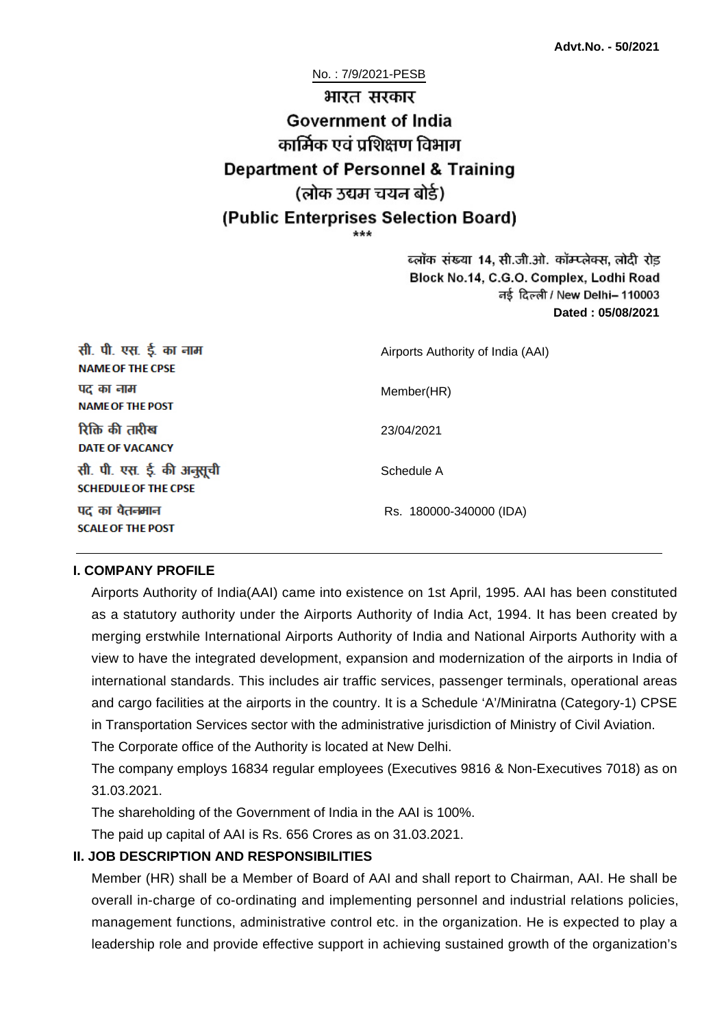No. : 7/9/2021-PESB भारत सरकार **Government of India** कार्मिक एवं पशिक्षण विभाग **Department of Personnel & Training** (लोक उद्यम चयन बोर्ड) (Public Enterprises Selection Board)

ब्लॉक संख्या 14, सी.जी.ओ. कॉम्प्लेक्स, लोदी रोड Block No.14, C.G.O. Complex, Lodhi Road ਰई दिल्ली / New Delhi– 110003 **Dated : 05/08/2021**

| सी. पी. एस. ई. का नाम<br><b>NAME OF THE CPSE</b>         | Airports Authority of India (AAI) |
|----------------------------------------------------------|-----------------------------------|
| पद का नाम<br><b>NAME OF THE POST</b>                     | Member(HR)                        |
| रिक्ति की तारीख<br><b>DATE OF VACANCY</b>                | 23/04/2021                        |
| सी. पी. एस. ई. की अनुसूची<br><b>SCHEDULE OF THE CPSE</b> | Schedule A                        |
| पद का वेतनमान<br><b>SCALE OF THE POST</b>                | Rs. 180000-340000 (IDA)           |

#### **I. COMPANY PROFILE**

Airports Authority of India(AAI) came into existence on 1st April, 1995. AAI has been constituted as a statutory authority under the Airports Authority of India Act, 1994. It has been created by merging erstwhile International Airports Authority of India and National Airports Authority with a view to have the integrated development, expansion and modernization of the airports in India of international standards. This includes air traffic services, passenger terminals, operational areas and cargo facilities at the airports in the country. It is a Schedule 'A'/Miniratna (Category-1) CPSE in Transportation Services sector with the administrative jurisdiction of Ministry of Civil Aviation.

The Corporate office of the Authority is located at New Delhi.

The company employs 16834 regular employees (Executives 9816 & Non-Executives 7018) as on 31.03.2021.

The shareholding of the Government of India in the AAI is 100%.

The paid up capital of AAI is Rs. 656 Crores as on 31.03.2021.

#### **II. JOB DESCRIPTION AND RESPONSIBILITIES**

Member (HR) shall be a Member of Board of AAI and shall report to Chairman, AAI. He shall be overall in-charge of co-ordinating and implementing personnel and industrial relations policies, management functions, administrative control etc. in the organization. He is expected to play a leadership role and provide effective support in achieving sustained growth of the organization's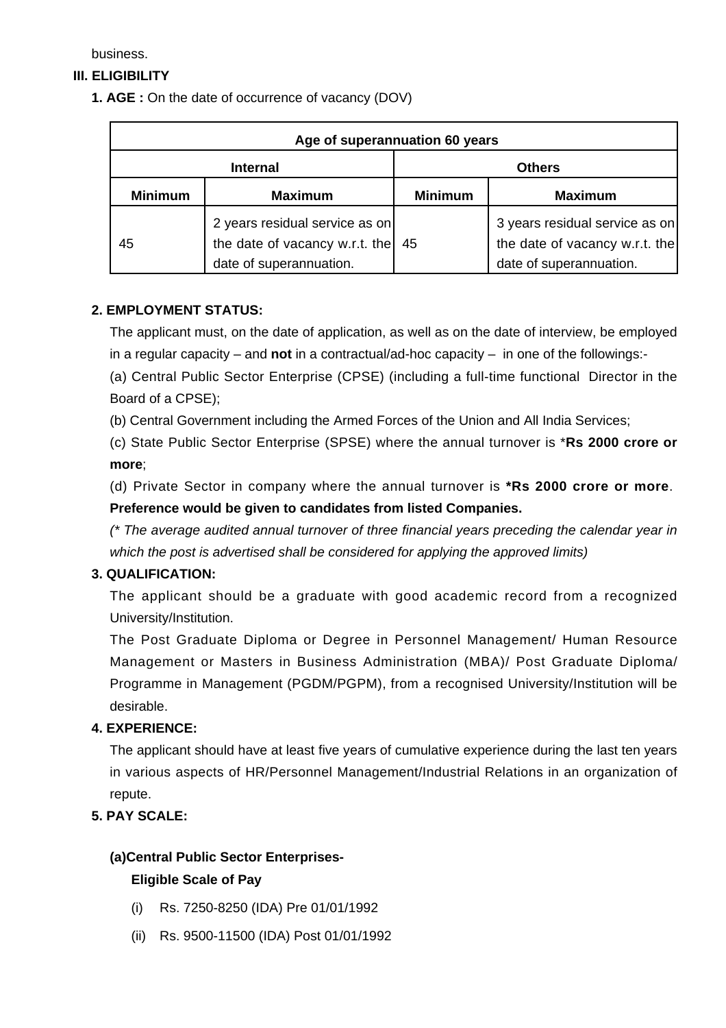business.

# **III. ELIGIBILITY**

**1. AGE :** On the date of occurrence of vacancy (DOV)

| Age of superannuation 60 years |                                                                                             |                |                                                                                             |
|--------------------------------|---------------------------------------------------------------------------------------------|----------------|---------------------------------------------------------------------------------------------|
| <b>Internal</b>                |                                                                                             | <b>Others</b>  |                                                                                             |
| <b>Minimum</b>                 | <b>Maximum</b>                                                                              | <b>Minimum</b> | <b>Maximum</b>                                                                              |
| 45                             | 2 years residual service as on<br>the date of vacancy w.r.t. the<br>date of superannuation. | 45             | 3 years residual service as on<br>the date of vacancy w.r.t. the<br>date of superannuation. |

### **2. EMPLOYMENT STATUS:**

The applicant must, on the date of application, as well as on the date of interview, be employed in a regular capacity – and **not** in a contractual/ad-hoc capacity – in one of the followings:-

(a) Central Public Sector Enterprise (CPSE) (including a full-time functional Director in the Board of a CPSE);

(b) Central Government including the Armed Forces of the Union and All India Services;

(c) State Public Sector Enterprise (SPSE) where the annual turnover is \***Rs 2000 crore or more**;

(d) Private Sector in company where the annual turnover is **\*Rs 2000 crore or more**. **Preference would be given to candidates from listed Companies.**

(\* The average audited annual turnover of three financial years preceding the calendar year in which the post is advertised shall be considered for applying the approved limits)

### **3. QUALIFICATION:**

The applicant should be a graduate with good academic record from a recognized University/Institution.

The Post Graduate Diploma or Degree in Personnel Management/ Human Resource Management or Masters in Business Administration (MBA)/ Post Graduate Diploma/ Programme in Management (PGDM/PGPM), from a recognised University/Institution will be desirable.

### **4. EXPERIENCE:**

The applicant should have at least five years of cumulative experience during the last ten years in various aspects of HR/Personnel Management/Industrial Relations in an organization of repute.

# **5. PAY SCALE:**

# **(a)Central Public Sector Enterprises-**

### **Eligible Scale of Pay**

- (i) Rs. 7250-8250 (IDA) Pre 01/01/1992
- (ii) Rs. 9500-11500 (IDA) Post 01/01/1992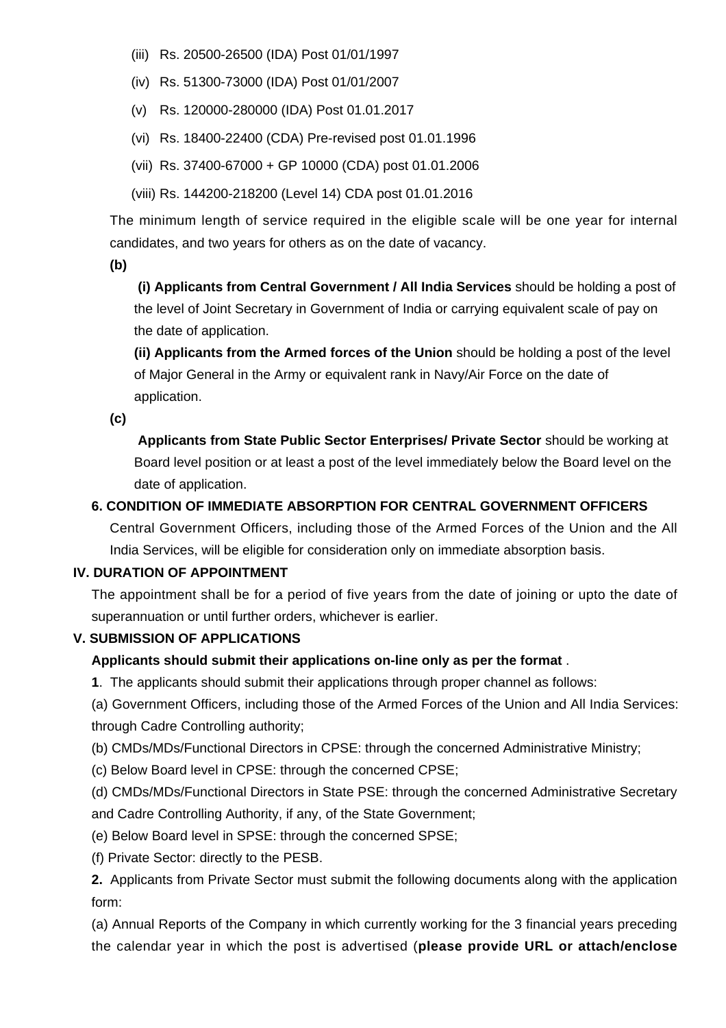- (iii) Rs. 20500-26500 (IDA) Post 01/01/1997
- (iv) Rs. 51300-73000 (IDA) Post 01/01/2007
- (v) Rs. 120000-280000 (IDA) Post 01.01.2017
- (vi) Rs. 18400-22400 (CDA) Pre-revised post 01.01.1996
- (vii) Rs. 37400-67000 + GP 10000 (CDA) post 01.01.2006
- (viii) Rs. 144200-218200 (Level 14) CDA post 01.01.2016

The minimum length of service required in the eligible scale will be one year for internal candidates, and two years for others as on the date of vacancy.

**(b)**

**(i) Applicants from Central Government / All India Services** should be holding a post of the level of Joint Secretary in Government of India or carrying equivalent scale of pay on the date of application.

**(ii) Applicants from the Armed forces of the Union** should be holding a post of the level of Major General in the Army or equivalent rank in Navy/Air Force on the date of application.

**(c)**

 **Applicants from State Public Sector Enterprises/ Private Sector** should be working at Board level position or at least a post of the level immediately below the Board level on the date of application.

#### **6. CONDITION OF IMMEDIATE ABSORPTION FOR CENTRAL GOVERNMENT OFFICERS**

Central Government Officers, including those of the Armed Forces of the Union and the All India Services, will be eligible for consideration only on immediate absorption basis.

#### **IV. DURATION OF APPOINTMENT**

The appointment shall be for a period of five years from the date of joining or upto the date of superannuation or until further orders, whichever is earlier.

#### **V. SUBMISSION OF APPLICATIONS**

#### **Applicants should submit their applications on-line only as per the format** .

**1**. The applicants should submit their applications through proper channel as follows:

(a) Government Officers, including those of the Armed Forces of the Union and All India Services: through Cadre Controlling authority;

(b) CMDs/MDs/Functional Directors in CPSE: through the concerned Administrative Ministry;

(c) Below Board level in CPSE: through the concerned CPSE;

(d) CMDs/MDs/Functional Directors in State PSE: through the concerned Administrative Secretary and Cadre Controlling Authority, if any, of the State Government;

- (e) Below Board level in SPSE: through the concerned SPSE;
- (f) Private Sector: directly to the PESB.

**2.** Applicants from Private Sector must submit the following documents along with the application form:

(a) Annual Reports of the Company in which currently working for the 3 financial years preceding the calendar year in which the post is advertised (**please provide URL or attach/enclose**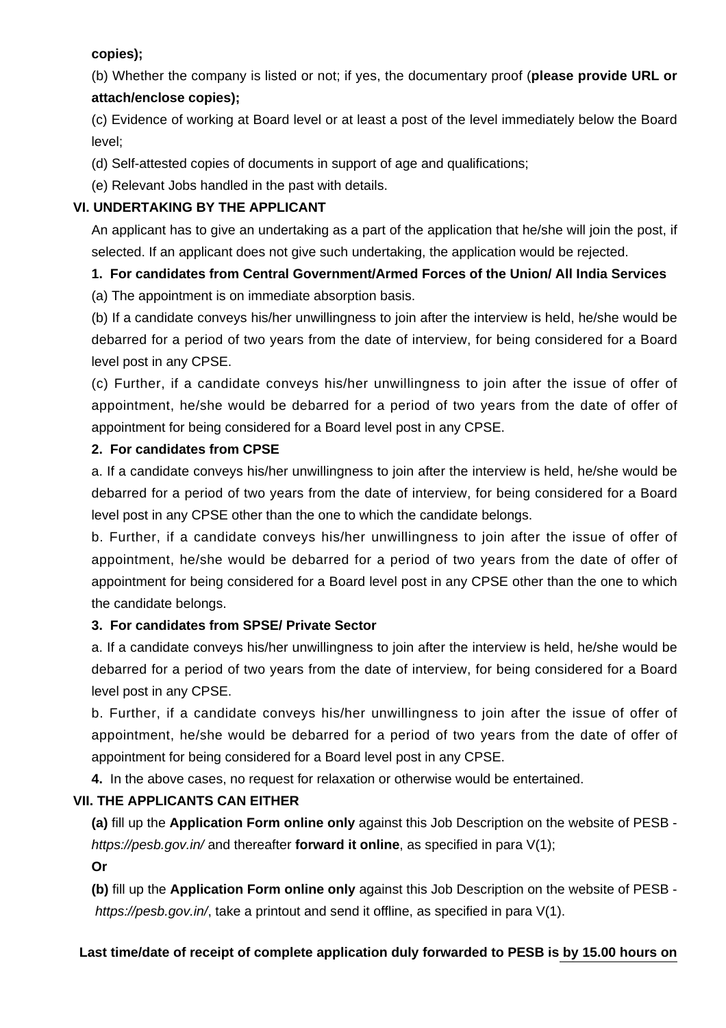### **copies);**

(b) Whether the company is listed or not; if yes, the documentary proof (**please provide URL or attach/enclose copies);**

(c) Evidence of working at Board level or at least a post of the level immediately below the Board level;

(d) Self-attested copies of documents in support of age and qualifications;

(e) Relevant Jobs handled in the past with details.

# **VI. UNDERTAKING BY THE APPLICANT**

An applicant has to give an undertaking as a part of the application that he/she will join the post, if selected. If an applicant does not give such undertaking, the application would be rejected.

# **1. For candidates from Central Government/Armed Forces of the Union/ All India Services**

(a) The appointment is on immediate absorption basis.

(b) If a candidate conveys his/her unwillingness to join after the interview is held, he/she would be debarred for a period of two years from the date of interview, for being considered for a Board level post in any CPSE.

(c) Further, if a candidate conveys his/her unwillingness to join after the issue of offer of appointment, he/she would be debarred for a period of two years from the date of offer of appointment for being considered for a Board level post in any CPSE.

### **2. For candidates from CPSE**

a. If a candidate conveys his/her unwillingness to join after the interview is held, he/she would be debarred for a period of two years from the date of interview, for being considered for a Board level post in any CPSE other than the one to which the candidate belongs.

b. Further, if a candidate conveys his/her unwillingness to join after the issue of offer of appointment, he/she would be debarred for a period of two years from the date of offer of appointment for being considered for a Board level post in any CPSE other than the one to which the candidate belongs.

# **3. For candidates from SPSE/ Private Sector**

a. If a candidate conveys his/her unwillingness to join after the interview is held, he/she would be debarred for a period of two years from the date of interview, for being considered for a Board level post in any CPSE.

b. Further, if a candidate conveys his/her unwillingness to join after the issue of offer of appointment, he/she would be debarred for a period of two years from the date of offer of appointment for being considered for a Board level post in any CPSE.

**4.** In the above cases, no request for relaxation or otherwise would be entertained.

# **VII. THE APPLICANTS CAN EITHER**

**(a)** fill up the **Application Form online only** against this Job Description on the website of PESB https://pesb.gov.in/ and thereafter **forward it online**, as specified in para V(1);

**Or**

**(b)** fill up the **Application Form online only** against this Job Description on the website of PESB https://pesb.gov.in/, take a printout and send it offline, as specified in para V(1).

### **Last time/date of receipt of complete application duly forwarded to PESB is by 15.00 hours on**